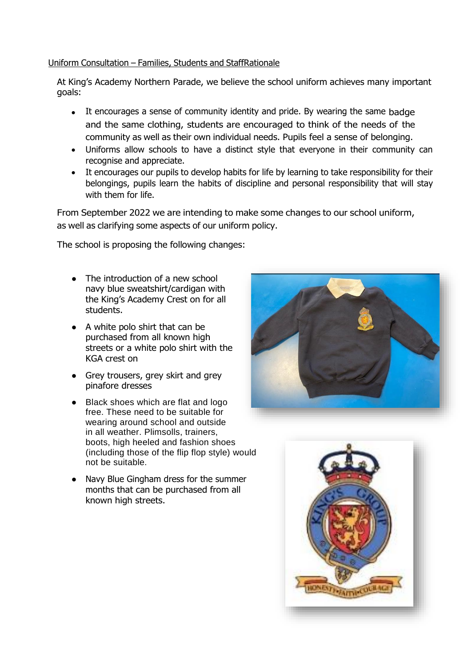## Uniform Consultation – Families, Students and StaffRationale

At King's Academy Northern Parade, we believe the school uniform achieves many important goals:

- It encourages a sense of community identity and pride. By wearing the same badge and the same clothing, students are encouraged to think of the needs of the community as well as their own individual needs. Pupils feel a sense of belonging.
- Uniforms allow schools to have a distinct style that everyone in their community can recognise and appreciate.
- It encourages our pupils to develop habits for life by learning to take responsibility for their belongings, pupils learn the habits of discipline and personal responsibility that will stay with them for life.

From September 2022 we are intending to make some changes to our school uniform, as well as clarifying some aspects of our uniform policy.

The school is proposing the following changes:

- The introduction of a new school navy blue sweatshirt/cardigan with the King's Academy Crest on for all students.
- A white polo shirt that can be purchased from all known high streets or a white polo shirt with the KGA crest on
- Grey trousers, grey skirt and grey pinafore dresses
- Black shoes which are flat and logo free. These need to be suitable for wearing around school and outside in all weather. Plimsolls, trainers, boots, high heeled and fashion shoes (including those of the flip flop style) would not be suitable.
- Navy Blue Gingham dress for the summer months that can be purchased from all known high streets.



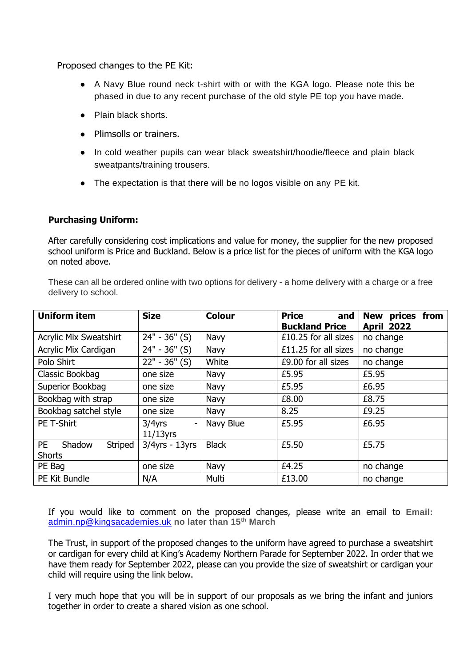Proposed changes to the PE Kit:

- A Navy Blue round neck t-shirt with or with the KGA logo. Please note this be phased in due to any recent purchase of the old style PE top you have made.
- Plain black shorts.
- Plimsolls or trainers.
- In cold weather pupils can wear black sweatshirt/hoodie/fleece and plain black sweatpants/training trousers.
- The expectation is that there will be no logos visible on any PE kit.

## **Purchasing Uniform:**

After carefully considering cost implications and value for money, the supplier for the new proposed school uniform is Price and Buckland. Below is a price list for the pieces of uniform with the KGA logo on noted above.

These can all be ordered online with two options for delivery - a home delivery with a charge or a free delivery to school.

| <b>Uniform item</b>                             | <b>Size</b>                                | <b>Colour</b> | <b>Price</b><br>and   | <b>New</b><br>prices<br>from |
|-------------------------------------------------|--------------------------------------------|---------------|-----------------------|------------------------------|
|                                                 |                                            |               | <b>Buckland Price</b> | <b>April 2022</b>            |
| <b>Acrylic Mix Sweatshirt</b>                   | $24" - 36"$ (S)                            | Navy          | £10.25 for all sizes  | no change                    |
| Acrylic Mix Cardigan                            | $24" - 36"$ (S)                            | Navy          | £11.25 for all sizes  | no change                    |
| Polo Shirt                                      | $22" - 36"$ (S)                            | White         | £9.00 for all sizes   | no change                    |
| Classic Bookbag                                 | one size                                   | Navy          | £5.95                 | £5.95                        |
| Superior Bookbag                                | one size                                   | Navy          | £5.95                 | £6.95                        |
| Bookbag with strap                              | one size                                   | Navy          | £8.00                 | £8.75                        |
| Bookbag satchel style                           | one size                                   | Navy          | 8.25                  | £9.25                        |
| PE T-Shirt                                      | $3/4$ yrs<br>$\overline{a}$<br>$11/13$ yrs | Navy Blue     | £5.95                 | £6.95                        |
| <b>PE</b><br>Striped<br>Shadow<br><b>Shorts</b> | $3/4yrs - 13yrs$                           | <b>Black</b>  | £5.50                 | £5.75                        |
| PE Bag                                          | one size                                   | Navy          | £4.25                 | no change                    |
| PE Kit Bundle                                   | N/A                                        | Multi         | £13.00                | no change                    |

If you would like to comment on the proposed changes, please write an email to **Email:**  [admin.np@kingsacademies.uk](mailto:admin.np@kingsacademies.uk) **no later than 15th March**

The Trust, in support of the proposed changes to the uniform have agreed to purchase a sweatshirt or cardigan for every child at King's Academy Northern Parade for September 2022. In order that we have them ready for September 2022, please can you provide the size of sweatshirt or cardigan your child will require using the link below.

I very much hope that you will be in support of our proposals as we bring the infant and juniors together in order to create a shared vision as one school.